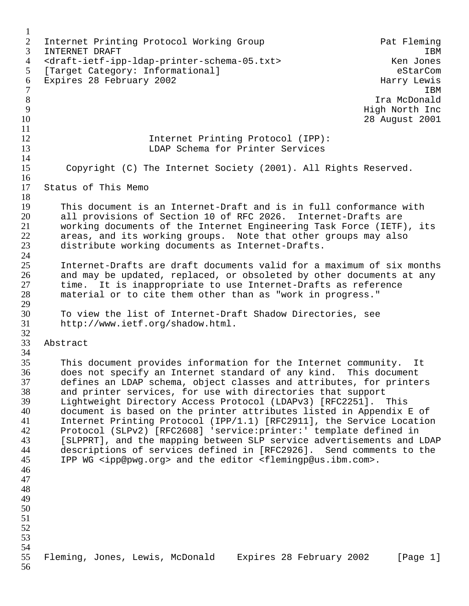1 2 Internet Printing Protocol Working Group<br>3 INTERNET DRAFT 1BM  $\blacksquare$  INTERNET DRAFT  $\blacksquare$ 4 <draft-ietf-ipp-ldap-printer-schema-05.txt> Ken Jones<br>5 [Target Category: Informational] 5 [Target Category: Informational]<br>6 Expires 28 February 2002 6 Expires 28 February 2002<br>7 IBM  $7$ 8 Ira McDonald 9 High North Inc 10 28 August 2001  $\frac{11}{12}$ 12 12 Internet Printing Protocol (IPP):<br>13 13 IDAP Schema for Printer Services 13 LDAP Schema for Printer Services 14 15 Copyright (C) The Internet Society (2001). All Rights Reserved. 16 17 Status of This Memo 18 19 This document is an Internet-Draft and is in full conformance with 20 all provisions of Section 10 of RFC 2026. Internet-Drafts are 21 working documents of the Internet Engineering Task Force (IETF), its<br>22 areas, and its working groups. Note that other groups may also 22 areas, and its working groups. Note that other groups may also<br>23 distribute working documents as Internet-Drafts. distribute working documents as Internet-Drafts.  $\frac{24}{25}$ 25 Internet-Drafts are draft documents valid for a maximum of six months 26 and may be updated, replaced, or obsoleted by other documents at any<br>27 time. It is inappropriate to use Internet-Drafts as reference 27 time. It is inappropriate to use Internet-Drafts as reference<br>28 material or to cite them other than as "work in progress." material or to cite them other than as "work in progress."  $\frac{29}{30}$ 30 To view the list of Internet-Draft Shadow Directories, see<br>31 http://www.ietf.org/shadow.html. http://www.ietf.org/shadow.html. 32<br>33 Abstract  $\frac{34}{35}$ 35 This document provides information for the Internet community. It 36 does not specify an Internet standard of any kind. This document 37 defines an LDAP schema, object classes and attributes, for printers 38 and printer services, for use with directories that support<br>39 Lightweight Directory Access Protocol (LDAPv3) [RFC2251]. 39 Lightweight Directory Access Protocol (LDAPv3) [RFC2251]. This 40 document is based on the printer attributes listed in Appendix E of<br>41 Internet Printing Protocol (IPP/1.1) [RFC2911], the Service Location 41 Internet Printing Protocol (IPP/1.1) [RFC2911], the Service Location<br>42 Protocol (SLPv2) [RFC2608] 'service:printer:' template defined in 42 Protocol (SLPv2) [RFC2608] 'service: printer:' template defined in<br>43 [SLPPRT], and the mapping between SLP service advertisements and I 43 [SLPPRT], and the mapping between SLP service advertisements and LDAP<br>44 descriptions of services defined in [RFC2926]. Send comments to the descriptions of services defined in [RFC2926]. Send comments to the 45 IPP WG <ipp@pwg.org> and the editor <flemingp@us.ibm.com>. 46 47 48 49 50 51 52 53 54<br>55 55 Fleming, Jones, Lewis, McDonald Expires 28 February 2002 [Page 1] 56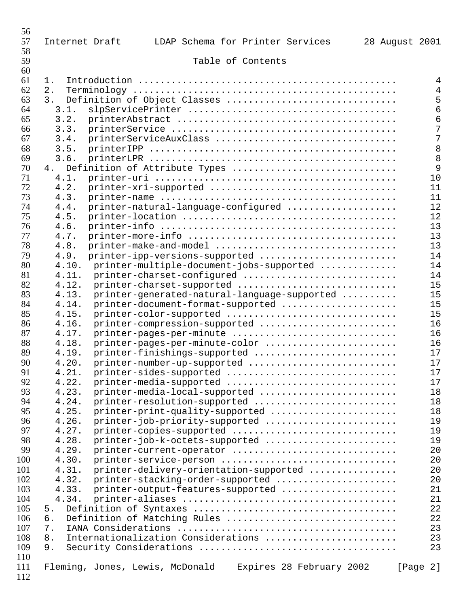| 56<br>57 | LDAP Schema for Printer Services<br>Internet Draft          | 28 August 2001 |                |
|----------|-------------------------------------------------------------|----------------|----------------|
| 58<br>59 | Table of Contents                                           |                |                |
| 60       |                                                             |                |                |
| 61       | 1.                                                          |                | $\overline{4}$ |
| 62       | 2.                                                          |                | $\overline{4}$ |
| 63       | 3.<br>Definition of Object Classes                          |                | 5              |
| 64       | 3.1.                                                        |                | 6              |
| 65       | 3.2.                                                        |                | 6              |
| 66       | 3.3.                                                        |                | 7              |
| 67       | 3.4.<br>printerServiceAuxClass                              |                | 7              |
| 68       | 3.5.                                                        |                | 8              |
| 69       | 3.6.                                                        |                | 8              |
| 70       | Definition of Attribute Types<br>4.                         |                | 9              |
| 71       | 4.1.                                                        |                | 10             |
| 72       | printer-xri-supported<br>4.2.                               |                | 11             |
| 73       | 4.3.                                                        |                | 11             |
| 74       | printer-natural-language-configured<br>4.4.                 |                | 12             |
| 75       | 4.5.                                                        |                | 12             |
| 76       | 4.6.                                                        |                | 13             |
| 77       | 4.7.                                                        |                | 13             |
|          |                                                             |                | 13             |
| 78       | 4.8.<br>printer-make-and-model                              |                |                |
| 79       | 4.9.<br>printer-ipp-versions-supported                      |                | 14             |
| 80       | 4.10.<br>printer-multiple-document-jobs-supported           |                | 14             |
| 81       | 4.11.<br>printer-charset-configured                         |                | 14             |
| 82       | 4.12.<br>printer-charset-supported                          |                | 15             |
| 83       | 4.13.<br>printer-generated-natural-language-supported       |                | 15             |
| 84       | 4.14.<br>printer-document-format-supported                  |                | 15             |
| 85       | 4.15.<br>printer-color-supported                            |                | 15             |
| 86       | 4.16.<br>printer-compression-supported                      |                | 16             |
| 87       | 4.17.<br>printer-pages-per-minute                           |                | 16             |
| 88       | printer-pages-per-minute-color<br>4.18.                     |                | 16             |
| 89       | 4.19.<br>printer-finishings-supported                       |                | 17             |
| 90       | 4.20.<br>printer-number-up-supported                        |                | 17             |
| 91       | printer-sides-supported<br>4.21.                            |                | 17             |
| 92       | 4.22.<br>printer-media-supported                            |                | 17             |
| 93       | printer-media-local-supported<br>4.23.                      |                | 18             |
| 94       | 4.24.<br>printer-resolution-supported                       |                | 18             |
| 95       | 4.25.<br>printer-print-quality-supported                    |                | 18             |
| 96       | 4.26.<br>printer-job-priority-supported                     |                | 19             |
| 97       | 4.27.<br>printer-copies-supported                           |                | 19             |
| 98       | 4.28.<br>printer-job-k-octets-supported                     |                | 19             |
| 99       | 4.29.                                                       |                | 20             |
| 100      | printer-current-operator                                    |                |                |
|          | 4.30.<br>printer-service-person                             |                | 20             |
| 101      | printer-delivery-orientation-supported<br>4.31.             |                | 20             |
| 102      | printer-stacking-order-supported<br>4.32.                   |                | 20             |
| 103      | 4.33.<br>printer-output-features-supported                  |                | 21             |
| 104      | 4.34.                                                       |                | 21             |
| 105      | 5.                                                          |                | 22             |
| 106      | Definition of Matching Rules<br>б.                          |                | 22             |
| 107      | 7.                                                          |                | 23             |
| 108      | Internationalization Considerations<br>8.                   |                | 23             |
| 109      | 9.                                                          |                | 23             |
| 110      |                                                             |                |                |
| 111      | Fleming, Jones, Lewis, McDonald<br>Expires 28 February 2002 | [Page 2]       |                |
| 112      |                                                             |                |                |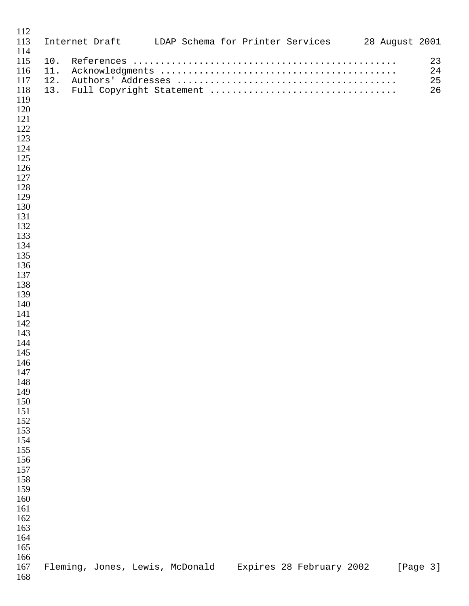| 112<br>113                                                                                                                                                                                                                                                                                                       |                   |  | Internet Draft LDAP Schema for Printer Services 28 August 2001 |                          |  |  |                      |
|------------------------------------------------------------------------------------------------------------------------------------------------------------------------------------------------------------------------------------------------------------------------------------------------------------------|-------------------|--|----------------------------------------------------------------|--------------------------|--|--|----------------------|
| 114<br>115<br>116<br>117<br>118<br>119<br>120<br>121<br>122<br>123<br>124<br>125<br>126<br>127<br>128<br>129<br>130<br>131<br>132<br>133<br>134<br>135<br>136<br>137<br>138<br>139<br>140<br>141<br>142<br>143<br>144<br>145<br>146<br>147<br>148<br>149<br>150<br>151<br>152<br>153<br>154<br>155<br>156<br>157 | 10.<br>11.<br>12. |  |                                                                |                          |  |  | 23<br>24<br>25<br>26 |
| 158<br>159<br>160<br>161<br>162<br>163<br>164<br>165<br>166<br>167                                                                                                                                                                                                                                               |                   |  | Fleming, Jones, Lewis, McDonald                                | Expires 28 February 2002 |  |  | [Page 3]             |
| 168                                                                                                                                                                                                                                                                                                              |                   |  |                                                                |                          |  |  |                      |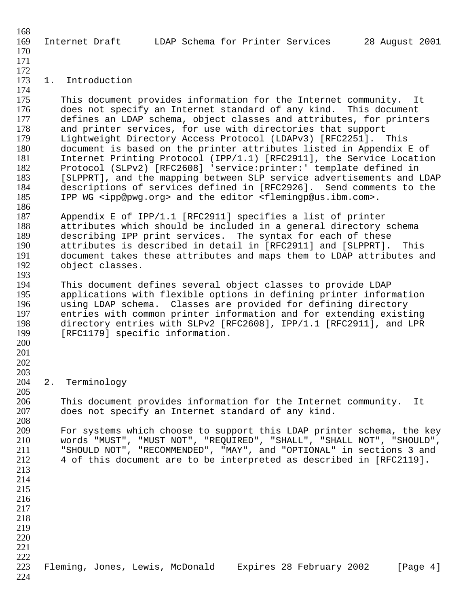168 169 Internet Draft LDAP Schema for Printer Services 28 August 2001 170 171 172<br>173 1. Introduction 174 175 This document provides information for the Internet community. It<br>176 – does not specify an Internet standard of any kind. This document 176 does not specify an Internet standard of any kind. This document<br>177 defines an LDAP schema, object classes and attributes, for printer 177 defines an LDAP schema, object classes and attributes, for printers<br>178 and printer services, for use with directories that support 178 and printer services, for use with directories that support<br>179 Lightweight Directory Access Protocol (LDAPv3) [RFC2251]. 179 Lightweight Directory Access Protocol (LDAPv3) [RFC2251]. This document is based on the printer attributes listed in Appendix E of 181 Internet Printing Protocol (IPP/1.1) [RFC2911], the Service Location<br>182 Protocol (SLPv2) [RFC2608] 'service:printer:' template defined in 182 Protocol (SLPv2) [RFC2608] 'service: printer: ' template defined in<br>183 [SLPPRT], and the mapping between SLP service advertisements and I 183 [SLPPRT], and the mapping between SLP service advertisements and LDAP<br>184 descriptions of services defined in [RFC2926]. Send comments to the 184 descriptions of services defined in [RFC2926]. Send comments to the<br>185 IPP WG <ipp@pwg.org> and the editor <flemingp@us.ibm.com>. 185 IPP WG <ipp@pwg.org> and the editor <flemingp@us.ibm.com>. 186 187 Appendix E of IPP/1.1 [RFC2911] specifies a list of printer 188 attributes which should be included in a general directory schema 189 describing IPP print services. The syntax for each of these 190 attributes is described in detail in [RFC2911] and [SLPPRT]. This 191 document takes these attributes and maps them to LDAP attributes and<br>192 object classes. object classes. 193<br>194 194 This document defines several object classes to provide LDAP 195 applications with flexible options in defining printer information<br>196 using LDAP schema. Classes are provided for defining directory 196 using LDAP schema. Classes are provided for defining directory<br>197 entries with common printer information and for extending exist: 197 entries with common printer information and for extending existing<br>198 directory entries with SLPv2 [RFC2608], IPP/1.1 [RFC2911], and LPR 198 directory entries with SLPv2 [RFC2608], IPP/1.1 [RFC2911], and LPR<br>199 [RFC1179] specific information. [RFC1179] specific information. 200 201 202 203 204 2. Terminology 205 206 This document provides information for the Internet community. It<br>207 does not specify an Internet standard of any kind. does not specify an Internet standard of any kind. 208 For systems which choose to support this LDAP printer schema, the key 210 words "MUST", "MUST NOT", "REQUIRED", "SHALL", "SHALL NOT", "SHOULD", "SHOULD NOT", "RECOMMENDED", "MAY", and "OPTIONAL" in sections 3 and 212 4 of this document are to be interpreted as described in [RFC2119]. 213 214 215 216 217 218 219 220 221 222 223 Fleming, Jones, Lewis, McDonald Expires 28 February 2002 [Page 4]

224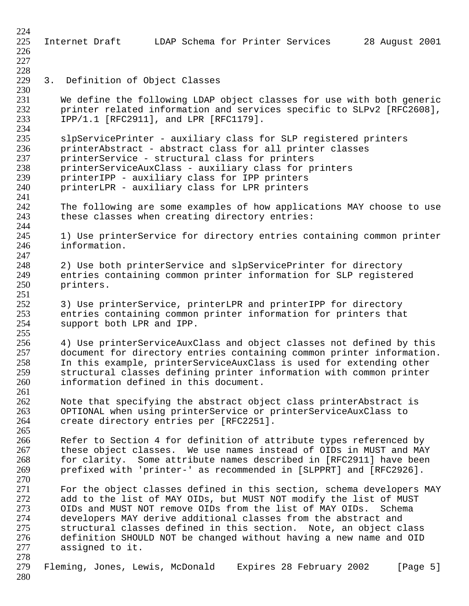224 225 Internet Draft LDAP Schema for Printer Services 28 August 2001 226 227 228 3. Definition of Object Classes 230 231 We define the following LDAP object classes for use with both generic<br>232 Printer related information and services specific to SLPv2 [RFC2608], 232 printer related information and services specific to SLPv2 [RFC2608],<br>233 TPP/1.1 [RFC2911], and LPR [RFC1179]. 233 IPP/1.1 [RFC2911], and LPR [RFC1179]. 234<br>235 235 slpServicePrinter - auxiliary class for SLP registered printers<br>236 printerAbstract - abstract class for all printer classes 236 printerAbstract - abstract class for all printer classes<br>237 printerService - structural class for printers 237 printerService - structural class for printers<br>238 printerServiceAuxClass - auxiliary class for printerServiceAuxClass - auxiliary class for print 238 printerServiceAuxClass - auxiliary class for printers<br>239 printerIPP - auxiliary class for IPP printers 239 printerIPP - auxiliary class for IPP printers<br>240 printerLPR - auxiliary class for LPR printers printerLPR - auxiliary class for LPR printers 241<br>242 The following are some examples of how applications MAY choose to use 243 these classes when creating directory entries: 244<br>245 1) Use printerService for directory entries containing common printer 246 information. 247<br>248 248 2) Use both printerService and slpServicePrinter for directory<br>249 entries containing common printer information for SLP registere 249 entries containing common printer information for SLP registered<br>250 printers. printers.  $\frac{251}{252}$ 252 3) Use printerService, printerLPR and printerIPP for directory<br>253 entries containing common printer information for printers that 253 entries containing common printer information for printers that<br>254 support both LPR and IPP. support both LPR and IPP. 255<br>256 256 4) Use printerServiceAuxClass and object classes not defined by this 257 document for directory entries containing common printer information.<br>258 In this example, printerServiceAuxClass is used for extending other 258 In this example, printerServiceAuxClass is used for extending other structural classes defining printer information with common printer 260 information defined in this document.  $\frac{261}{262}$ 262 Mote that specifying the abstract object class printerAbstract is<br>263 OPTIONAL when using printerService or printerServiceAuxClass to 263 OPTIONAL when using printerService or printerServiceAuxClass to create directory entries per [RFC2251]. 265 266 12 Refer to Section 4 for definition of attribute types referenced by<br>267 12 these object classes. We use names instead of OIDs in MUST and MAN these object classes. We use names instead of OIDs in MUST and MAY 268 for clarity. Some attribute names described in [RFC2911] have been 269 prefixed with 'printer-' as recommended in [SLPPRT] and [RFC2926]. 270 271 For the object classes defined in this section, schema developers MAY 272 add to the list of MAY OIDs, but MUST NOT modify the list of MUST<br>273 OIDs and MUST NOT remove OIDs from the list of MAY OIDs. Schema 273 OIDs and MUST NOT remove OIDs from the list of MAY OIDs. Schema<br>274 Odevelopers MAY derive additional classes from the abstract and 274 developers MAY derive additional classes from the abstract and<br>275 structural classes defined in this section. Note, an object cl structural classes defined in this section. Note, an object class 276 definition SHOULD NOT be changed without having a new name and OID<br>277 assigned to it. assigned to it. 278 279 Fleming, Jones, Lewis, McDonald Expires 28 February 2002 [Page 5] 280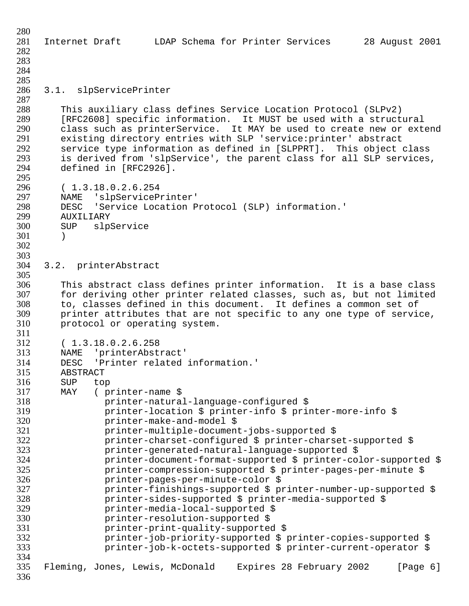| 280 |                                                                         |
|-----|-------------------------------------------------------------------------|
| 281 | Internet Draft blDAP Schema for Printer Services 28 August 2001         |
| 282 |                                                                         |
| 283 |                                                                         |
| 284 |                                                                         |
| 285 |                                                                         |
| 286 | 3.1. slpServicePrinter                                                  |
| 287 |                                                                         |
| 288 | This auxiliary class defines Service Location Protocol (SLPv2)          |
| 289 | [RFC2608] specific information. It MUST be used with a structural       |
|     |                                                                         |
| 290 | class such as printerService. It MAY be used to create new or extend    |
| 291 | existing directory entries with SLP 'service: printer' abstract         |
| 292 | service type information as defined in [SLPPRT]. This object class      |
| 293 | is derived from 'slpService', the parent class for all SLP services,    |
| 294 | defined in [RFC2926].                                                   |
| 295 |                                                                         |
| 296 | (1.3.18.0.2.6.254)                                                      |
| 297 | NAME 'slpServicePrinter'                                                |
| 298 | 'Service Location Protocol (SLP) information.'<br>DESC                  |
| 299 | AUXILIARY                                                               |
| 300 | slpService<br><b>SUP</b>                                                |
| 301 | $\lambda$                                                               |
| 302 |                                                                         |
| 303 |                                                                         |
| 304 | 3.2. printerAbstract                                                    |
| 305 |                                                                         |
| 306 | This abstract class defines printer information. It is a base class     |
| 307 | for deriving other printer related classes, such as, but not limited    |
| 308 | to, classes defined in this document. It defines a common set of        |
| 309 | printer attributes that are not specific to any one type of service,    |
| 310 | protocol or operating system.                                           |
| 311 |                                                                         |
| 312 | (1.3.18.0.2.6.258                                                       |
| 313 | NAME 'printerAbstract'                                                  |
| 314 | 'Printer related information.'<br>DESC                                  |
| 315 | ABSTRACT                                                                |
| 316 | <b>SUP</b><br>top                                                       |
| 317 | MAY<br>(printer-name \$                                                 |
| 318 | printer-natural-language-configured \$                                  |
| 319 | printer-location \$ printer-info \$ printer-more-info \$                |
| 320 | printer-make-and-model \$                                               |
| 321 | printer-multiple-document-jobs-supported \$                             |
| 322 | printer-charset-configured \$ printer-charset-supported \$              |
| 323 | printer-generated-natural-language-supported \$                         |
| 324 |                                                                         |
|     | printer-document-format-supported \$ printer-color-supported \$         |
| 325 | printer-compression-supported \$ printer-pages-per-minute \$            |
| 326 | printer-pages-per-minute-color \$                                       |
| 327 | printer-finishings-supported \$ printer-number-up-supported \$          |
| 328 | printer-sides-supported \$ printer-media-supported \$                   |
| 329 | printer-media-local-supported \$                                        |
| 330 | printer-resolution-supported \$                                         |
| 331 | printer-print-quality-supported \$                                      |
| 332 | printer-job-priority-supported \$ printer-copies-supported \$           |
| 333 | printer-job-k-octets-supported \$ printer-current-operator \$           |
| 334 |                                                                         |
| 335 | Fleming, Jones, Lewis, McDonald<br>Expires 28 February 2002<br>[Page 6] |
| 336 |                                                                         |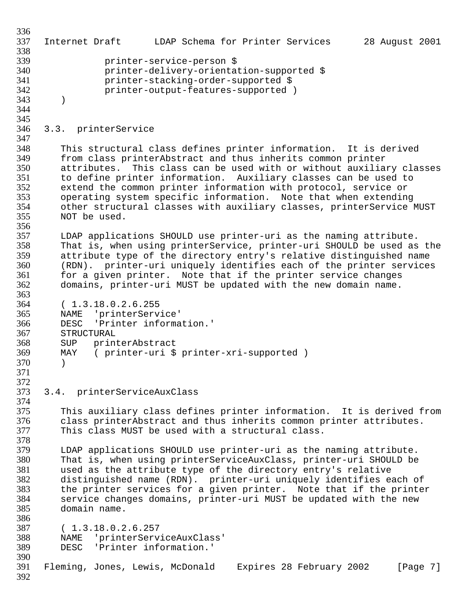```
336
337 Internet Draft LDAP Schema for Printer Services 28 August 2001
338
339 printer-service-person $ 
340 printer-delivery-orientation-supported $ 
341 printer-stacking-order-supported $ 
                  printer-output-features-supported )
343 )
344
345
346 3.3. printerService
347
348 This structural class defines printer information. It is derived<br>349 from class printerAbstract and thus inherits common printer
349 from class printerAbstract and thus inherits common printer
350 attributes. This class can be used with or without auxiliary classes
351 to define printer information. Auxiliary classes can be used to
352 extend the common printer information with protocol, service or<br>353 operating system specific information. Note that when extending
353 operating system specific information. Note that when extending
         other structural classes with auxiliary classes, printerService MUST
355 NOT be used. 
356 
357 LDAP applications SHOULD use printer-uri as the naming attribute.
358 That is, when using printerService, printer-uri SHOULD be used as the
359 attribute type of the directory entry's relative distinguished name
360 (RDN). printer-uri uniquely identifies each of the printer services
361 for a given printer. Note that if the printer service changes<br>362 domains, printer-uri MUST be updated with the new domain name.
         domains, printer-uri MUST be updated with the new domain name.
363<br>364
         (1.3.18.0.2.6.255)365 NAME 'printerService'<br>366 DESC 'Printer_informa
366 DESC 'Printer information.'
         STRUCTURAL
368 SUP printerAbstract<br>369 MAY (printer-uri $
         MAY ( printer-uri $ printer-xri-supported )
370 )
371
372<br>373
     3.4. printerServiceAuxClass
374
375 This auxiliary class defines printer information. It is derived from<br>376 Class printerAbstract and thus inherits common printer attributes.
376 class printerAbstract and thus inherits common printer attributes.<br>377 This class MUST be used with a structural class.
         This class MUST be used with a structural class.
378<br>379
379 LDAP applications SHOULD use printer-uri as the naming attribute.
         That is, when using printerServiceAuxClass, printer-uri SHOULD be
381 used as the attribute type of the directory entry's relative
382 distinguished name (RDN). printer-uri uniquely identifies each of
383 the printer services for a given printer. Note that if the printer
384 service changes domains, printer-uri MUST be updated with the new
385 domain name. 
386<br>387
         (1.3.18.0.2.6.257)388 MAME 'printerServiceAuxClass'<br>389 DESC 'Printer information.'
         DESC 'Printer information.'
390
391 Fleming, Jones, Lewis, McDonald Expires 28 February 2002 [Page 7]
392
```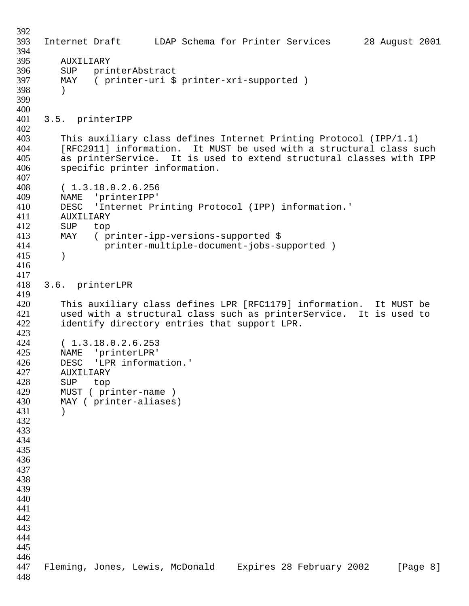392 393 Internet Draft LDAP Schema for Printer Services 28 August 2001 394 395 AUXILIARY<br>396 SUP prim 396 SUP printerAbstract<br>397 MAY (printer-uri \$ ( printer-uri \$ printer-xri-supported ) 398 ) 399 400 401 3.5. printerIPP 402<br>403 403 This auxiliary class defines Internet Printing Protocol (IPP/1.1)<br>404 [RFC2911] information. It MUST be used with a structural class so 404 [RFC2911] information. It MUST be used with a structural class such<br>405 as printerService. It is used to extend structural classes with IPP 405 as printerService. It is used to extend structural classes with IPP<br>406 specific printer information. specific printer information.  $\frac{407}{408}$ 408 (1.3.18.0.2.6.256<br>409 NAME 'printerIPP' 409 NAME 'printerIPP'<br>410 DESC 'Internet Pr DESC 'Internet Printing Protocol (IPP) information.' 411 AUXILIARY 412 SUP top 413 MAY ( printer-ipp-versions-supported \$ 414 printer-multiple-document-jobs-supported ) 415 ) 416 417 418 3.6. printerLPR 419 420 This auxiliary class defines LPR [RFC1179] information. It MUST be<br>421 Used with a structural class such as printerService. It is used to 421 used with a structural class such as printerService. It is used to<br>422 identify directory entries that support LPR. identify directory entries that support LPR. 423<br>424 424 (1.3.18.0.2.6.253<br>425 NAME 'printerLPR' 425 NAME 'printerLPR'<br>426 DESC 'LPR informa 426 DESC 'LPR information.'<br>427 AUXILIARY AUXILIARY 428 SUP top<br>429 MUST (pr: 429 MUST (printer-name)<br>430 MAY (printer-aliases MAY ( printer-aliases) 431 ) 432 433 434 435 436 437 438 439 440 441 442 443 444 445 446 447 Fleming, Jones, Lewis, McDonald Expires 28 February 2002 [Page 8] 448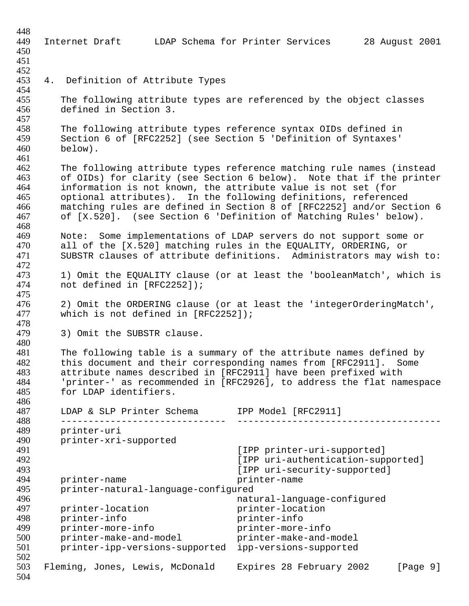| 448        |                                                                                             |                                                 |          |
|------------|---------------------------------------------------------------------------------------------|-------------------------------------------------|----------|
| 449        | Internet Draft                                                                              | LDAP Schema for Printer Services 28 August 2001 |          |
| 450        |                                                                                             |                                                 |          |
| 451        |                                                                                             |                                                 |          |
| 452        |                                                                                             |                                                 |          |
| 453        | 4. Definition of Attribute Types                                                            |                                                 |          |
| 454<br>455 |                                                                                             |                                                 |          |
| 456        | The following attribute types are referenced by the object classes<br>defined in Section 3. |                                                 |          |
| 457        |                                                                                             |                                                 |          |
| 458        | The following attribute types reference syntax OIDs defined in                              |                                                 |          |
| 459        | Section 6 of [RFC2252] (see Section 5 'Definition of Syntaxes'                              |                                                 |          |
| 460        | below).                                                                                     |                                                 |          |
| 461        |                                                                                             |                                                 |          |
| 462        | The following attribute types reference matching rule names (instead                        |                                                 |          |
| 463        | of OIDs) for clarity (see Section 6 below). Note that if the printer                        |                                                 |          |
| 464        | information is not known, the attribute value is not set (for                               |                                                 |          |
| 465        | optional attributes). In the following definitions, referenced                              |                                                 |          |
| 466        | matching rules are defined in Section 8 of [RFC2252] and/or Section 6                       |                                                 |          |
| 467        | of [X.520]. (see Section 6 'Definition of Matching Rules' below).                           |                                                 |          |
| 468<br>469 | Note: Some implementations of LDAP servers do not support some or                           |                                                 |          |
| 470        | all of the [X.520] matching rules in the EQUALITY, ORDERING, or                             |                                                 |          |
| 471        | SUBSTR clauses of attribute definitions. Administrators may wish to:                        |                                                 |          |
| 472        |                                                                                             |                                                 |          |
| 473        | 1) Omit the EQUALITY clause (or at least the 'booleanMatch', which is                       |                                                 |          |
| 474        | not defined in [RFC2252]);                                                                  |                                                 |          |
| 475        |                                                                                             |                                                 |          |
| 476        | 2) Omit the ORDERING clause (or at least the 'integerOrderingMatch',                        |                                                 |          |
| 477        | which is not defined in $[RFC2252])$ ;                                                      |                                                 |          |
| 478        |                                                                                             |                                                 |          |
| 479<br>480 | 3) Omit the SUBSTR clause.                                                                  |                                                 |          |
| 481        | The following table is a summary of the attribute names defined by                          |                                                 |          |
| 482        | this document and their corresponding names from [RFC2911].                                 |                                                 | Some     |
| 483        | attribute names described in [RFC2911] have been prefixed with                              |                                                 |          |
| 484        | 'printer-' as recommended in [RFC2926], to address the flat namespace                       |                                                 |          |
| 485        | for LDAP identifiers.                                                                       |                                                 |          |
| 486        |                                                                                             |                                                 |          |
| 487        | LDAP & SLP Printer Schema IPP Model [RFC2911]                                               |                                                 |          |
| 488        |                                                                                             |                                                 |          |
| 489        | printer-uri                                                                                 |                                                 |          |
| 490<br>491 | printer-xri-supported                                                                       | [IPP printer-uri-supported]                     |          |
| 492        |                                                                                             | [IPP uri-authentication-supported]              |          |
| 493        |                                                                                             | [IPP uri-security-supported]                    |          |
| 494        | printer-name                                                                                | printer-name                                    |          |
| 495        | printer-natural-language-configured                                                         |                                                 |          |
| 496        |                                                                                             | natural-language-configured                     |          |
| 497        | printer-location                                                                            | printer-location                                |          |
| 498        | printer-info                                                                                | printer-info                                    |          |
| 499        | printer-more-info                                                                           | printer-more-info                               |          |
| 500        | printer-make-and-model                                                                      | printer-make-and-model                          |          |
| 501<br>502 | printer-ipp-versions-supported                                                              | ipp-versions-supported                          |          |
| 503        | Fleming, Jones, Lewis, McDonald                                                             | Expires 28 February 2002                        | [Page 9] |
| 504        |                                                                                             |                                                 |          |
|            |                                                                                             |                                                 |          |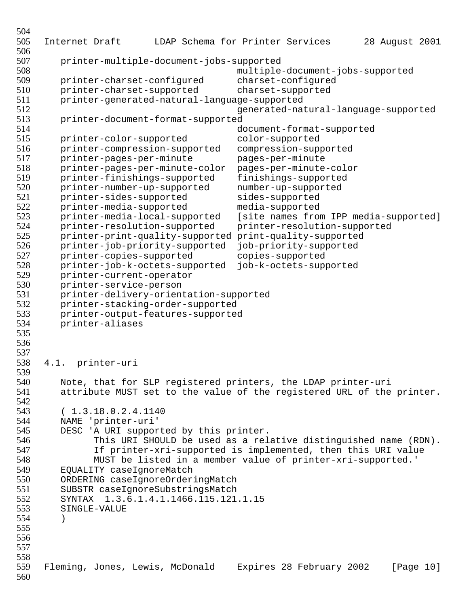```
504
505 Internet Draft LDAP Schema for Printer Services 28 August 2001
506
507 printer-multiple-document-jobs-supported 
508 multiple-document-jobs-supported 
509 printer-charset-configured charset-configured
         510 printer-charset-supported charset-supported
511 printer-generated-natural-language-supported 
512 generated-natural-language-supported
513 printer-document-format-supported 
514 document-format-supported<br>515 printer-color-supported color-supported
515 printer-color-supported color-supported<br>516 printer-compression-supported compression-supp
         516 printer-compression-supported compression-supported
517 printer-pages-per-minute pages-per-minute<br>518 printer-pages-per-minute-color pages-per-minute-color
518 printer-pages-per-minute-color<br>519 printer-finishings-supported
519 printer-finishings-supported finishings-supported
520 printer-number-up-supported number-up-supported<br>521 printer-sides-supported sides-supported
521 printer-sides-supported sides-supported<br>522 printer-media-supported media-supported
         printer-media-supported
523 printer-media-local-supported [site names from IPP media-supported]
524 printer-resolution-supported printer-resolution-supported<br>525 printer-print-quality-supported print-quality-supported
         525 printer-print-quality-supported print-quality-supported
526 printer-job-priority-supported job-priority-supported
527 printer-copies-supported copies-supported<br>528 printer-job-k-octets-supported job-k-octets-supp
528 printer-job-k-octets-supported job-k-octets-supported
529 printer-current-operator<br>530 printer-service-person
530 printer-service-person<br>531 printer-delivery-orien
531 printer-delivery-orientation-supported<br>532 printer-stacking-order-supported
532 printer-stacking-order-supported<br>533 printer-output-features-supported
533 printer-output-features-supported<br>534 printer-aliases
         534 printer-aliases
535 
536
537
538 4.1. printer-uri
539
540 Note, that for SLP registered printers, the LDAP printer-uri<br>541 attribute MUST set to the value of the registered URL of the
         attribute MUST set to the value of the registered URL of the printer.
542<br>543
543 (1.3.18.0.2.4.1140<br>544 NAME 'printer-uri'
544 NAME 'printer-uri'
         DESC 'A URI supported by this printer.
546 This URI SHOULD be used as a relative distinguished name (RDN).
                If printer-xri-supported is implemented, then this URI value
548 MUST be listed in a member value of printer-xri-supported.'
549 EQUALITY caseIgnoreMatch
550 ORDERING caseIgnoreOrderingMatch
551 SUBSTR caseIgnoreSubstringsMatch
552 SYNTAX 1.3.6.1.4.1.1466.115.121.1.15
553 SINGLE-VALUE
554 )
555
556
557
558
559 Fleming, Jones, Lewis, McDonald Expires 28 February 2002 [Page 10]
560
```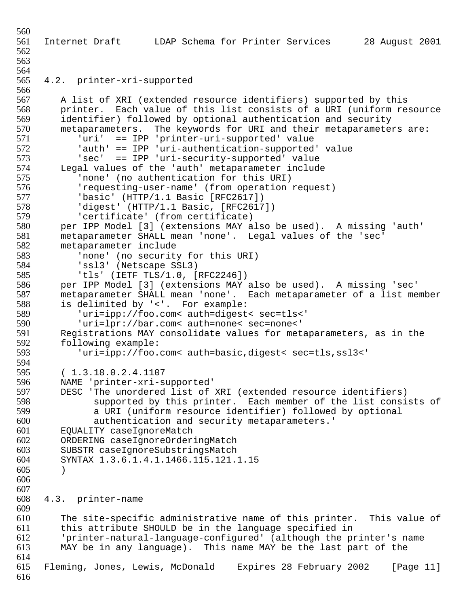```
560
561 Internet Draft LDAP Schema for Printer Services 28 August 2001
562
563
564
565 4.2. printer-xri-supported
566
567 A list of XRI (extended resource identifiers) supported by this
568 printer. Each value of this list consists of a URI (uniform resource<br>569 identifier) followed by optional authentication and security
569 identifier) followed by optional authentication and security
570 metaparameters. The keywords for URI and their metaparameters are:<br>571 metaparameters. The 'printer-uri-supported' value
571 		 'uri' == IPP 'printer-uri-supported' value<br>572 		 'auth' == IPP 'uri-authentication-supported
572 'auth' == IPP 'uri-authentication-supported' value
573 'sec' == IPP 'uri-security-supported' value
574 Legal values of the 'auth' metaparameter include<br>575 Thone' (no authentication for this URI)
575 Thone' (no authentication for this URI)<br>576 Trequesting-user-name' (from operation
576         'requesting-user-name' (from operation request)<br>577           'basic' (HTTP/1.1 Basic [RFC2617])
577 'basic' (HTTP/1.1 Basic [RFC2617])
             'digest' (HTTP/1.1 Basic, [RFC2617])
579 'certificate' (from certificate)
580 per IPP Model [3] (extensions MAY also be used). A missing 'auth'
581 metaparameter SHALL mean 'none'. Legal values of the 'sec'
582 metaparameter include 
583 'none' (no security for this URI)<br>584 'ssl3' (Netscape SSL3)
584 'ssl3' (Netscape SSL3)
585 'tls' (IETF TLS/1.0, [RFC2246])
586 per IPP Model [3] (extensions MAY also be used). A missing 'sec'
587 metaparameter SHALL mean 'none'. Each metaparameter of a list member<br>588 is delimited by '<'. For example:
588 is delimited by '<'. For example:<br>589 uri=ipp://foo.com< auth=digest
589 'uri=ipp://foo.com< auth=digest< sec=tls<' 
590 'uri=lpr://bar.com< auth=none< sec=none<'
591 Registrations MAY consolidate values for metaparameters, as in the<br>592 following example:
592 following example:<br>593 curi=ipp://foo.
              'uri=ipp://foo.com< auth=basic,digest< sec=tls,ssl3<'
594<br>595
          (1.3.18.0.2.4.1107596 MAME 'printer-xri-supported'<br>597 DESC 'The unordered list of
597 DESC 'The unordered list of XRI (extended resource identifiers)<br>598 Supported by this printer. Each member of the list consi
598 supported by this printer. Each member of the list consists of<br>599 a URI (uniform resource identifier) followed by optional
599 100 a URI (uniform resource identifier) followed by optional<br>600 100 authentication and security metaparameters.
600 authentication and security metaparameters.'
         EQUALITY caseIqnoreMatch
602 ORDERING caseIgnoreOrderingMatch
          SUBSTR caseIgnoreSubstringsMatch
604 SYNTAX 1.3.6.1.4.1.1466.115.121.1.15 
605 )
606
607
608 4.3. printer-name
609
610 The site-specific administrative name of this printer. This value of
611 this attribute SHOULD be in the language specified in
612 Terinter-natural-language-configured' (although the printer's name<br>613 MAY be in any language). This name MAY be the last part of the
         MAY be in any language). This name MAY be the last part of the
614
615 Fleming, Jones, Lewis, McDonald Expires 28 February 2002 [Page 11]
616
```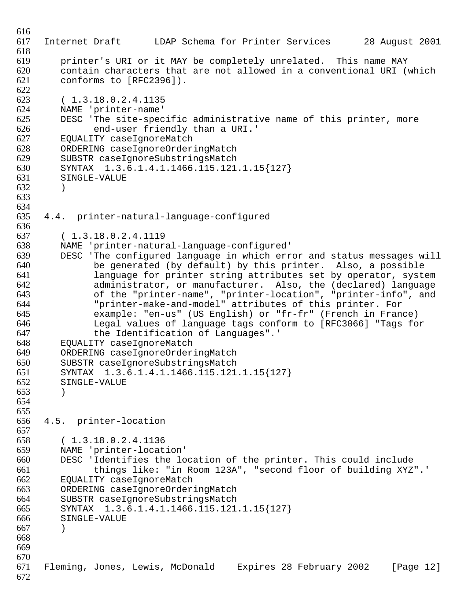```
616
617 Internet Draft LDAP Schema for Printer Services 28 August 2001
618
619 printer's URI or it MAY be completely unrelated. This name MAY
620 contain characters that are not allowed in a conventional URI (which 621 conforms to [REC2396]).
         conforms to [RFC2396]).
622<br>623
623 (1.3.18.0.2.4.1135<br>624 NAME 'printer-name'
624 NAME 'printer-name'<br>625 DESC 'The site-spec
625 DESC 'The site-specific administrative name of this printer, more<br>626 end-user friendly than a URI.'
626 end-user friendly than a URI.'<br>627 EQUALITY caseIqnoreMatch
627 EQUALITY caseIgnoreMatch
628 ORDERING caseIgnoreOrderingMatch<br>629 SUBSTR caseIgnoreSubstringsMatch
629 SUBSTR caseIgnoreSubstringsMatch<br>630 SYNTAX 1.3.6.1.4.1.1466.115.121
630 SYNTAX 1.3.6.1.4.1.1466.115.121.1.15{127} 
         SINGLE-VALUE
632 )
633
634
635 4.4. printer-natural-language-configured
636
637 ( 1.3.18.0.2.4.1119
638 NAME 'printer-natural-language-configured'
639 DESC 'The configured language in which error and status messages will
640 be generated (by default) by this printer. Also, a possible 
641 1 Language for printer string attributes set by operator, system<br>642 1 administrator, or manufacturer, Also, the (declared) language
642 administrator, or manufacturer. Also, the (declared) language 
643 of the "printer-name", "printer-location", "printer-info", and<br>644 Torinter-make-and-model" attributes of this printer. For
644 "printer-make-and-model" attributes of this printer. For 
645 example: "en-us" (US English) or "fr-fr" (French in France) 
646 Legal values of language tags conform to [RFC3066] "Tags for
               the Identification of Languages".'
648 EQUALITY caseIgnoreMatch
649 ORDERING caseIgnoreOrderingMatch<br>650 SUBSTR caseIqnoreSubstringsMatch
         SUBSTR caseIqnoreSubstringsMatch
651 SYNTAX 1.3.6.1.4.1.1466.115.121.1.15{127} 
652 SINGLE-VALUE
653 )
654
655
656 4.5. printer-location
657
658 (1.3.18.0.2.4.1136<br>659 NAME 'printer-locat
        NAME 'printer-location'
660 DESC 'Identifies the location of the printer. This could include 
661 things like: "in Room 123A", "second floor of building XYZ".'
662 EQUALITY caseIgnoreMatch
663 ORDERING caseIgnoreOrderingMatch
664 SUBSTR caseIgnoreSubstringsMatch
665 SYNTAX 1.3.6.1.4.1.1466.115.121.1.15{127} 
666 SINGLE-VALUE
667 )
668
669
670
671 Fleming, Jones, Lewis, McDonald Expires 28 February 2002 [Page 12]
672
```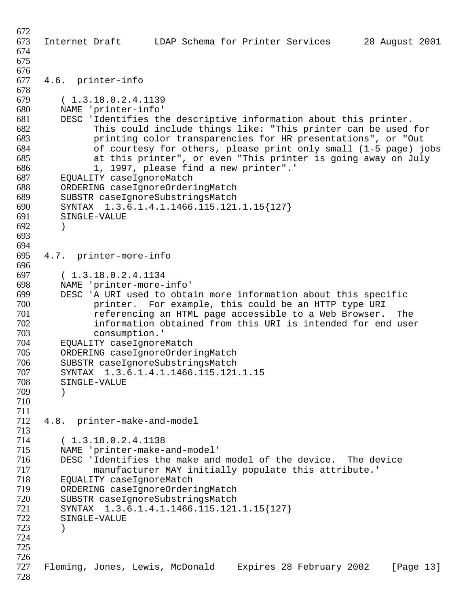Internet Draft LDAP Schema for Printer Services 28 August 2001 4.6. printer-info 679 (1.3.18.0.2.4.1139<br>680 NAME 'printer-info' NAME 'printer-info' DESC 'Identifies the descriptive information about this printer. This could include things like: "This printer can be used for printing color transparencies for HR presentations", or "Out of courtesy for others, please print only small  $(1-5$  page) jobs 685 at this printer", or even "This printer is going away on July<br>686 1. 1997. please find a new printer".' 1, 1997, please find a new printer".' EQUALITY caseIqnoreMatch 688 ORDERING caseIgnoreOrderingMatch<br>689 SUBSTR caseIqnoreSubstringsMatch 689 SUBSTR caseIgnoreSubstringsMatch<br>690 SYNTAX 1.3.6.1.4.1.1466.115.121 SYNTAX 1.3.6.1.4.1.1466.115.121.1.15{127} SINGLE-VALUE ) 4.7. printer-more-info 697 (1.3.18.0.2.4.1134)<br>698 NAME 'printer-more- NAME 'printer-more-info' 699 DESC 'A URI used to obtain more information about this specific<br>700 0 100 printer. For example, this could be an HTTP type URI 700 **12 printer.** For example, this could be an HTTP type URI<br>701 **12 Feature Contring an HTML** page accessible to a Web Browser. referencing an HTML page accessible to a Web Browser. The 702 information obtained from this URI is intended for end user<br>703 consumption.' consumption.' 704 EQUALITY caseIgnoreMatch<br>705 ORDERING caseIgnoreOrder: 705 ORDERING caseIgnoreOrderingMatch<br>706 SUBSTR caseIqnoreSubstringsMatch 706 SUBSTR caseIgnoreSubstringsMatch<br>707 SYNTAX 1.3.6.1.4.1.1466.115.121 SYNTAX 1.3.6.1.4.1.1466.115.121.1.15 SINGLE-VALUE ) 4.8. printer-make-and-model 714 (1.3.18.0.2.4.1138)<br>715 NAME 'printer-make-NAME 'printer-make-and-model' 716 DESC 'Identifies the make and model of the device. The device<br>717 manufacturer MAY initially populate this attribute. manufacturer MAY initially populate this attribute.' EQUALITY caseIgnoreMatch ORDERING caseIgnoreOrderingMatch SUBSTR caseIgnoreSubstringsMatch SYNTAX 1.3.6.1.4.1.1466.115.121.1.15{127} SINGLE-VALUE ) Fleming, Jones, Lewis, McDonald Expires 28 February 2002 [Page 13]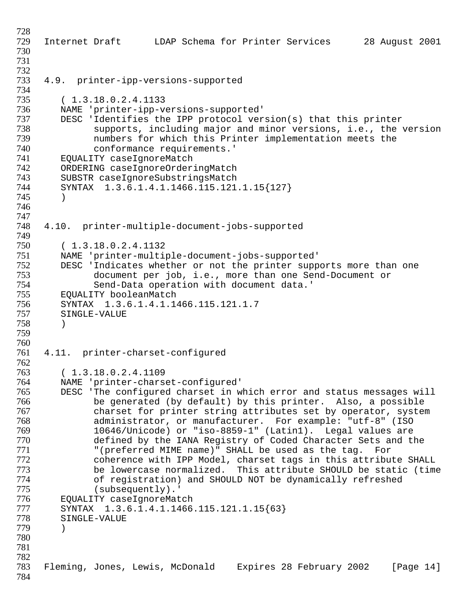```
728
729 Internet Draft LDAP Schema for Printer Services 28 August 2001
730
731
732
     4.9. printer-ipp-versions-supported
734
735 ( 1.3.18.0.2.4.1133
736 NAME 'printer-ipp-versions-supported'
737 DESC 'Identifies the IPP protocol version(s) that this printer<br>738 Supports, including major and minor versions, i.e., the
738 supports, including major and minor versions, i.e., the version<br>739 humbers for which this Printer implementation meets the
739 139 numbers for which this Printer implementation meets the<br>740 11 conformance requirements.'
740 conformance requirements.'<br>741 EQUALITY caseIqnoreMatch
741 EQUALITY caseIgnoreMatch<br>742 ORDERING caseIqnoreOrder:
742 ORDERING caseIgnoreOrderingMatch<br>743 SUBSTR caseIgnoreSubstringsMatch
743 SUBSTR caseIgnoreSubstringsMatch<br>744 SYNTAX 1.3.6.1.4.1.1466.115.121
         744 SYNTAX 1.3.6.1.4.1.1466.115.121.1.15{127} 
745 )
746
747
748 4.10. printer-multiple-document-jobs-supported
749
750 ( 1.3.18.0.2.4.1132
751 NAME 'printer-multiple-document-jobs-supported'
752 DESC 'Indicates whether or not the printer supports more than one<br>753 document per job, i.e., more than one Send-Document or
753 document per job, i.e., more than one Send-Document or 
754 Send-Data operation with document data.'
755 EQUALITY booleanMatch<br>756 SYNTAX 1.3.6.1.4.1.14
756 SYNTAX 1.3.6.1.4.1.1466.115.121.1.7 
         SINGLE-VALUE
758 )
759
760
761 4.11. printer-charset-configured
762
763 ( 1.3.18.0.2.4.1109
764 NAME 'printer-charset-configured'
765 DESC 'The configured charset in which error and status messages will 
766 be generated (by default) by this printer. Also, a possible 
767 charset for printer string attributes set by operator, system<br>768 cadministrator, or manufacturer. For example: "utf-8" (ISO
768 administrator, or manufacturer. For example: "utf-8" (ISO 
               769 10646/Unicode) or "iso-8859-1" (Latin1). Legal values are 
770 defined by the IANA Registry of Coded Character Sets and the 
771 "(preferred MIME name)" SHALL be used as the tag. For 
               coherence with IPP Model, charset tags in this attribute SHALL
773 be lowercase normalized. This attribute SHOULD be static (time
               of registration) and SHOULD NOT be dynamically refreshed
775 (subsequently).'
776 EQUALITY caseIgnoreMatch
777 SYNTAX 1.3.6.1.4.1.1466.115.121.1.15{63} 
         SINGLE-VALUE
779 )
780
781
782
783 Fleming, Jones, Lewis, McDonald Expires 28 February 2002 [Page 14]
784
```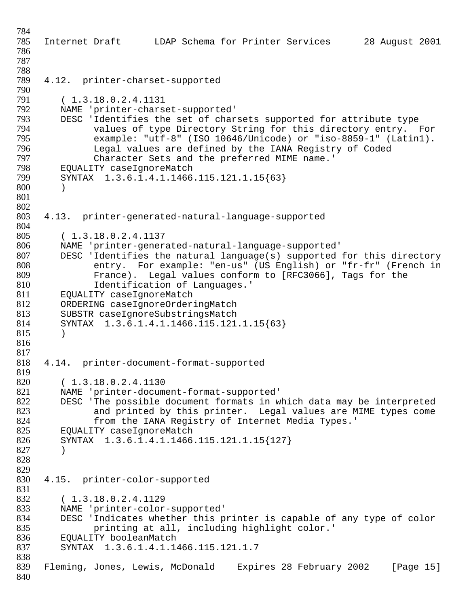Internet Draft LDAP Schema for Printer Services 28 August 2001 4.12. printer-charset-supported 791 (1.3.18.0.2.4.1131)<br>792 MAME 'printer-chars 792 NAME 'printer-charset-supported'<br>793 DESC 'Identifies the set of char 793 DESC 'Identifies the set of charsets supported for attribute type<br>794 values of type Directory String for this directory entry. I values of type Directory String for this directory entry. For example: "utf-8" (ISO 10646/Unicode) or "iso-8859-1" (Latin1). 796 Legal values are defined by the IANA Registry of Coded<br>797 Character Sets and the preferred MIME name.' Character Sets and the preferred MIME name.' 798 EQUALITY caseIgnoreMatch<br>799 SYNTAX 1.3.6.1.4.1.1466 SYNTAX 1.3.6.1.4.1.1466.115.121.1.15{63} ) 4.13. printer-generated-natural-language-supported ( 1.3.18.0.2.4.1137 NAME 'printer-generated-natural-language-supported' DESC 'Identifies the natural language(s) supported for this directory entry. For example: "en-us" (US English) or "fr-fr" (French in 809 France). Legal values conform to [RFC3066], Tags for the 810 810 1dentification of Languages.'<br>811 EOUALITY caseIgnoreMatch 811 EQUALITY caseIgnoreMatch<br>812 ORDERING caseIgnoreOrder: 812 ORDERING caseIgnoreOrderingMatch<br>813 SUBSTR caseIgnoreSubstringsMatch 813 SUBSTR caseIgnoreSubstringsMatch<br>814 SYNTAX 1.3.6.1.4.1.1466.115.121 SYNTAX 1.3.6.1.4.1.1466.115.121.1.15{63} ) 4.14. printer-document-format-supported 820 (1.3.18.0.2.4.1130<br>821 MAME 'printer-docume 821 MAME 'printer-document-format-supported'<br>822 DESC 'The possible document formats in w 822 DESC 'The possible document formats in which data may be interpreted<br>823 and printed by this printer. Legal values are MIME types come 823 and printed by this printer. Legal values are MIME types come<br>824 from the IANA Registry of Internet Media Types.' 824 from the IANA Registry of Internet Media Types.'<br>825 EOUALITY caseIgnoreMatch EQUALITY caseIqnoreMatch SYNTAX 1.3.6.1.4.1.1466.115.121.1.15{127} ) 4.15. printer-color-supported ( 1.3.18.0.2.4.1129 833 MAME 'printer-color-supported'<br>834 DESC 'Indicates whether this p DESC 'Indicates whether this printer is capable of any type of color printing at all, including highlight color.' 836 EQUALITY booleanMatch<br>837 SYNTAX 1.3.6.1.4.1.1 SYNTAX 1.3.6.1.4.1.1466.115.121.1.7 Fleming, Jones, Lewis, McDonald Expires 28 February 2002 [Page 15]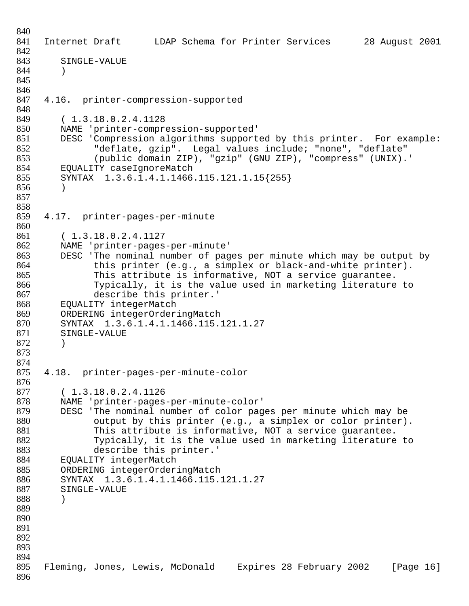Internet Draft LDAP Schema for Printer Services 28 August 2001 SINGLE-VALUE ) 4.16. printer-compression-supported 849 (1.3.18.0.2.4.1128<br>850 NAME 'printer-compre NAME 'printer-compression-supported' 851 DESC 'Compression algorithms supported by this printer. For example:<br>852 Teflate, qzip". Legal values include; "none", "deflate" "deflate, gzip". Legal values include; "none", "deflate" (public domain ZIP), "gzip" (GNU ZIP), "compress" (UNIX).' 854 EQUALITY caseIgnoreMatch<br>855 SYNTAX 1.3.6.1.4.1.1466 SYNTAX 1.3.6.1.4.1.1466.115.121.1.15{255} ) 4.17. printer-pages-per-minute ( 1.3.18.0.2.4.1127 NAME 'printer-pages-per-minute' DESC 'The nominal number of pages per minute which may be output by 864 this printer (e.g., a simplex or black-and-white printer). This attribute is informative, NOT a service guarantee. 866 Typically, it is the value used in marketing literature to<br>867 describe this printer.' 867 describe this printer.'<br>868 EQUALITY integerMatch EOUALITY integerMatch 869 ORDERING integerOrderingMatch<br>870 SYNTAX 1.3.6.1.4.1.1466.115. 870 SYNTAX 1.3.6.1.4.1.1466.115.121.1.27<br>871 SINGLE-VALUE SINGLE-VALUE ) 4.18. printer-pages-per-minute-color 877 (1.3.18.0.2.4.1126<br>878 MAME 'printer-pages NAME 'printer-pages-per-minute-color' 879 DESC 'The nominal number of color pages per minute which may be<br>880 output by this printer (e.g., a simplex or color printer) 880 output by this printer (e.g., a simplex or color printer).<br>881 This attribute is informative, NOT a service quarantee. This attribute is informative, NOT a service guarantee. Typically, it is the value used in marketing literature to describe this printer.' EQUALITY integerMatch ORDERING integerOrderingMatch SYNTAX 1.3.6.1.4.1.1466.115.121.1.27 SINGLE-VALUE ) Fleming, Jones, Lewis, McDonald Expires 28 February 2002 [Page 16]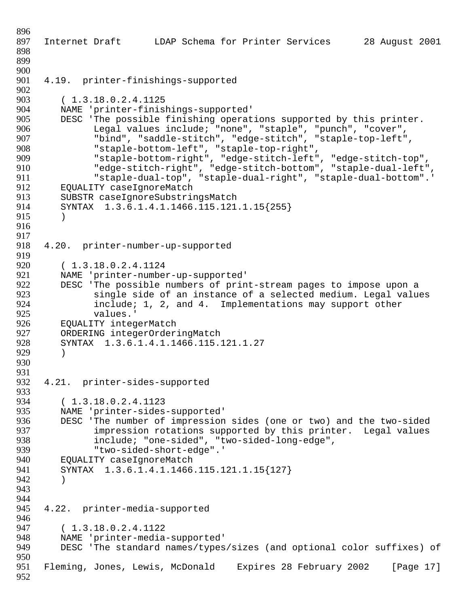896 897 Internet Draft LDAP Schema for Printer Services 28 August 2001 898 899 900<br>901 4.19. printer-finishings-supported 902 903 (1.3.18.0.2.4.1125)<br>904 MAME 'printer-finis! 904 NAME 'printer-finishings-supported'<br>905 DESC 'The possible finishing operat 905 DESC 'The possible finishing operations supported by this printer.<br>906 Legal values include; "none", "staple", "punch", "cover", 906 Legal values include; "none", "staple", "punch", "cover", 907 "bind", "saddle-stitch", "edge-stitch", "staple-top-left",<br>908 "staple-bottom-left", "staple-top-right", 908 "staple-bottom-left", "staple-top-right", 909 "staple-bottom-right", "edge-stitch-left", "edge-stitch-top", 910 "edge-stitch-right", "edge-stitch-bottom", "staple-dual-left", 911 "staple-dual-top", "staple-dual-right", "staple-dual-bottom".' 912 EQUALITY caseIgnoreMatch<br>913 SUBSTR caseIqnoreSubstrin 913 SUBSTR caseIgnoreSubstringsMatch<br>914 SYNTAX 1.3.6.1.4.1.1466.115.121. SYNTAX 1.3.6.1.4.1.1466.115.121.1.15{255} 915 ) 916 917 918 4.20. printer-number-up-supported 919 920 (1.3.18.0.2.4.1124)<br>921 MAME 'printer-number 921 MAME 'printer-number-up-supported'<br>922 DESC 'The possible numbers of prin 922 DESC 'The possible numbers of print-stream pages to impose upon a<br>923 Single side of an instance of a selected medium. Legal value 923 single side of an instance of a selected medium. Legal values<br>924 finclude: 1, 2, and 4. Implementations may support other 924 include; 1, 2, and 4. Implementations may support other<br>925 values.' 925 values.'<br>926 EOUALITY integ 926 EQUALITY integerMatch<br>927 ORDERING integerOrder: 927 ORDERING integerOrderingMatch<br>928 SYNTAX 1.3.6.1.4.1.1466.115. 928 SYNTAX 1.3.6.1.4.1.1466.115.121.1.27 929 ) 930 931 932 4.21. printer-sides-supported 933<br>934 934 (1.3.18.0.2.4.1123<br>935 NAME 'printer-sides 935 NAME 'printer-sides-supported'<br>936 DESC 'The number of impression 936 DESC 'The number of impression sides (one or two) and the two-sided impression rotations supported by this printer. Legal values 938 include; "one-sided", "two-sided-long-edge", 939 "two-sided-short-edge".' 940 EQUALITY caseIgnoreMatch 941 SYNTAX 1.3.6.1.4.1.1466.115.121.1.15{127} 942 ) 943 944 945 4.22. printer-media-supported 946 947 ( 1.3.18.0.2.4.1122 948 MAME 'printer-media-supported'<br>949 DESC 'The standard names/types DESC 'The standard names/types/sizes (and optional color suffixes) of 950 951 Fleming, Jones, Lewis, McDonald Expires 28 February 2002 [Page 17] 952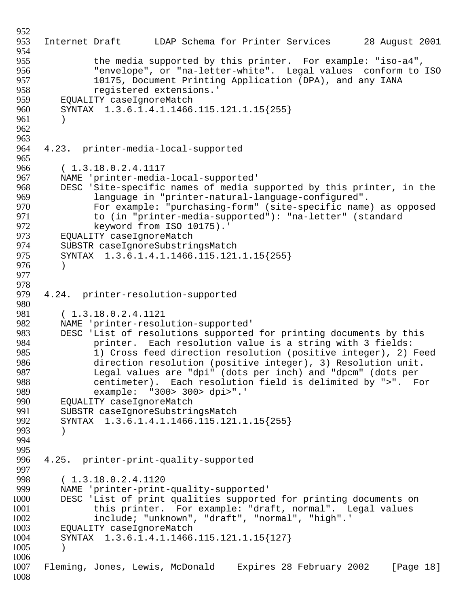```
952
953 Internet Draft LDAP Schema for Printer Services 28 August 2001
954
955 the media supported by this printer. For example: "iso-a4",<br>956           "envelope", or "na-letter-white". Legal values conform to
956 Tenvelope", or "na-letter-white". Legal values conform to ISO<br>957 10175, Document Printing Application (DPA), and any IANA
957 10175, Document Printing Application (DPA), and any IANA<br>958                  registered extensions.'
958 registered extensions.'
959 EQUALITY caseIgnoreMatch<br>960 SYNTAX 1.3.6.1.4.1.1466
          960 SYNTAX 1.3.6.1.4.1.1466.115.121.1.15{255} 
961 )
962
963
964 4.23. printer-media-local-supported
965
966 (1.3.18.0.2.4.1117<br>967 NAME 'printer-media
967 MAME 'printer-media-local-supported'<br>968 DESC 'Site-specific names of media s
968 DESC 'Site-specific names of media supported by this printer, in the<br>969 1anquage in "printer-natural-language-configured".
969 language in "printer-natural-language-configured". 
                 For example: "purchasing-form" (site-specific name) as opposed
971 to (in "printer-media-supported"): "na-letter" (standard
972 keyword from ISO 10175).'<br>973 EOUALITY caseIgnoreMatch
973 EQUALITY caseIgnoreMatch<br>974 SUBSTR caseIgnoreSubstrin
          SUBSTR caseIgnoreSubstringsMatch
975 SYNTAX 1.3.6.1.4.1.1466.115.121.1.15{255} 
976 )
977
978
979 4.24. printer-resolution-supported
980
981 (1.3.18.0.2.4.1121)<br>982 NAME 'printer-resolu
982 NAME 'printer-resolution-supported'<br>983 DESC 'List of resolutions supported
983 DESC 'List of resolutions supported for printing documents by this 
984 printer. Each resolution value is a string with 3 fields:<br>985 1) Cross feed direction resolution (positive integer), 2)
985 1) Cross feed direction resolution (positive integer), 2) Feed<br>986 311 direction resolution (positive integer), 3) Resolution unit.
986 direction resolution (positive integer), 3) Resolution unit. 
987 Legal values are "dpi" (dots per inch) and "dpcm" (dots per 
988 centimeter). Each resolution field is delimited by ">". For 
989 example: "300> 300> dpi>".'
990 EQUALITY caseIgnoreMatch<br>991 SUBSTR caseIgnoreSubstrii
991 SUBSTR caseIgnoreSubstringsMatch<br>992 SYNTAX 1.3.6.1.4.1.1466.115.121.
          SYNTAX 1.3.6.1.4.1.1466.115.121.1.15{255}
993 )
994
995
996 4.25. printer-print-quality-supported
997
998 ( 1.3.18.0.2.4.1120
999 NAME 'printer-print-quality-supported'
1000 DESC 'List of print qualities supported for printing documents on 
1001 this printer. For example: "draft, normal". Legal values
1002 include; "unknown", "draft", "normal", "high".'
1003 EQUALITY caseIgnoreMatch
1004 SYNTAX 1.3.6.1.4.1.1466.115.121.1.15{127} 
1005 )
1006
1007 Fleming, Jones, Lewis, McDonald Expires 28 February 2002 [Page 18]
1008
```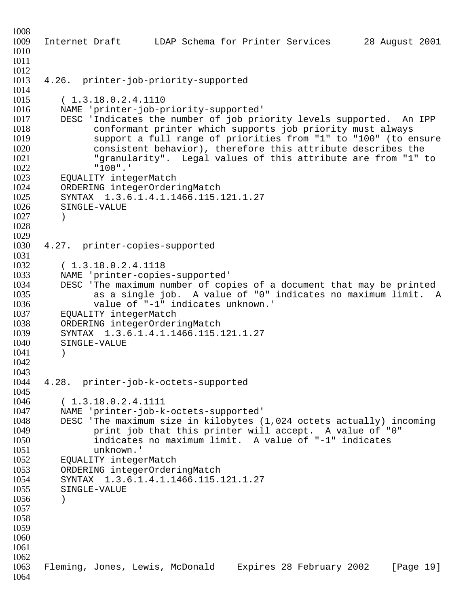```
1008
1009 Internet Draft LDAP Schema for Printer Services 28 August 2001
1010
1011
1012
1013 4.26. printer-job-priority-supported
1014
1015 (1.3.18.0.2.4.1110<br>1016 NAME 'printer-job-py
1016 MAME 'printer-job-priority-supported'<br>1017 DESC 'Indicates the number of job pri
          DESC 'Indicates the number of job priority levels supported. An IPP
1018 conformant printer which supports job priority must always<br>1019              support a full range of priorities from "1" to "100" (to en
1019 Support a full range of priorities from "1" to "100" (to ensure<br>1020 Sonsistent behavior), therefore this attribute describes the
                  consistent behavior), therefore this attribute describes the
1021 The "granularity". Legal values of this attribute are from "1" to 10221022 "100".<br>1023 EOUALITY inte
          EQUALITY integerMatch
1024 ORDERING integerOrderingMatch<br>1025 SYNTAX 1.3.6.1.4.1.1466.115.
1025 SYNTAX 1.3.6.1.4.1.1466.115.121.1.27<br>1026 SINGLE-VALUE
          SINGLE-VALUE
1027 )
1028
1029
1030 4.27. printer-copies-supported
1031
1032 (1.3.18.0.2.4.1118<br>1033 MAME 'printer-copie
          NAME 'printer-copies-supported'
1034 DESC 'The maximum number of copies of a document that may be printed<br>1035 as a single job. A value of "0" indicates no maximum limit. I
1035 as a single job. A value of "0" indicates no maximum limit. A 10361036 value of "-1" indicates unknown.<br>1037      EOUALITY integerMatch
1037 EQUALITY integerMatch<br>1038 ORDERING integerOrder:
1038 ORDERING integerOrderingMatch<br>1039 SYNTAX 1.3.6.1.4.1.1466.115.
          SYNTAX 1.3.6.1.4.1.1466.115.121.1.27
1040 SINGLE-VALUE
1041 )
1042
1043
1044 4.28. printer-job-k-octets-supported
1045
1046 (1.3.18.0.2.4.1111<br>1047 NAME 'printer-job-k
1047 NAME 'printer-job-k-octets-supported'
1048 DESC 'The maximum size in kilobytes (1,024 octets actually) incoming 
                 print job that this printer will accept. A value of "0"
1050 indicates no maximum limit. A value of "-1" indicates 
                 unknown.'
1052 EQUALITY integerMatch
1053 ORDERING integerOrderingMatch
1054 SYNTAX 1.3.6.1.4.1.1466.115.121.1.27 
1055 SINGLE-VALUE
1056 )
1057
1058
1059
1060
1061
1062
1063 Fleming, Jones, Lewis, McDonald Expires 28 February 2002 [Page 19]
1064
```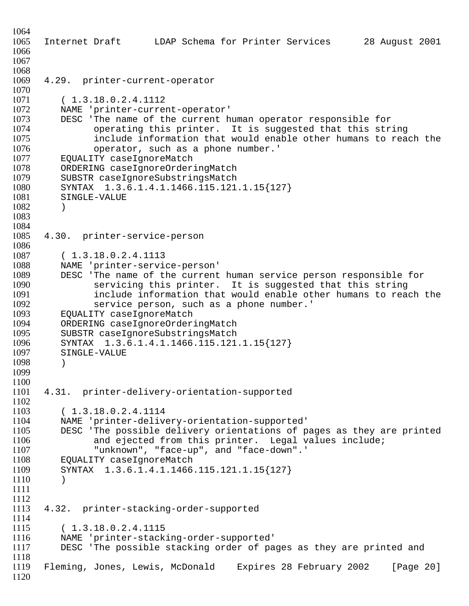Internet Draft LDAP Schema for Printer Services 28 August 2001 4.29. printer-current-operator 1071 (1.3.18.0.2.4.1112<br>1072 NAME 'printer-curre! 1072 NAME 'printer-current-operator'<br>1073 DESC 'The name of the current h 1073 DESC 'The name of the current human operator responsible for<br>1074 operating this printer. It is suggested that this str. 1074 operating this printer. It is suggested that this string<br>1075 include information that would enable other humans to rea 1075 include information that would enable other humans to reach the<br>1076 operator, such as a phone number.' 1076 operator, such as a phone number.'<br>1077 EOUALITY caseIgnoreMatch EQUALITY caseIgnoreMatch 1078 ORDERING caseIgnoreOrderingMatch<br>1079 SUBSTR caseIgnoreSubstringsMatch SUBSTR caseIqnoreSubstringsMatch 1080 SYNTAX 1.3.6.1.4.1.1466.115.121.1.15{127}<br>1081 SINGLE-VALUE SINGLE-VALUE ) 4.30. printer-service-person ( 1.3.18.0.2.4.1113 NAME 'printer-service-person' 1089 DESC 'The name of the current human service person responsible for<br>1090 Servicing this printer. It is suggested that this string servicing this printer. It is suggested that this string 1091 include information that would enable other humans to reach the<br>1092 service person, such as a phone number.' 1092 service person, such as a phone number.'<br>1093 EOUALITY caseIqnoreMatch 1093 EQUALITY caseIgnoreMatch<br>1094 ORDERING caseIgnoreOrder: 1094 ORDERING caseIgnoreOrderingMatch<br>1095 SUBSTR caseIgnoreSubstringsMatch SUBSTR caseIqnoreSubstringsMatch SYNTAX 1.3.6.1.4.1.1466.115.121.1.15{127} SINGLE-VALUE ) 4.31. printer-delivery-orientation-supported 1103 (1.3.18.0.2.4.1114<br>1104 NAME 'printer-delive NAME 'printer-delivery-orientation-supported' DESC 'The possible delivery orientations of pages as they are printed and ejected from this printer. Legal values include; "unknown", "face-up", and "face-down".' EQUALITY caseIgnoreMatch SYNTAX 1.3.6.1.4.1.1466.115.121.1.15{127} ) 4.32. printer-stacking-order-supported ( 1.3.18.0.2.4.1115 1116 MAME 'printer-stacking-order-supported'<br>1117 DESC 'The possible stacking order of pa DESC 'The possible stacking order of pages as they are printed and Fleming, Jones, Lewis, McDonald Expires 28 February 2002 [Page 20]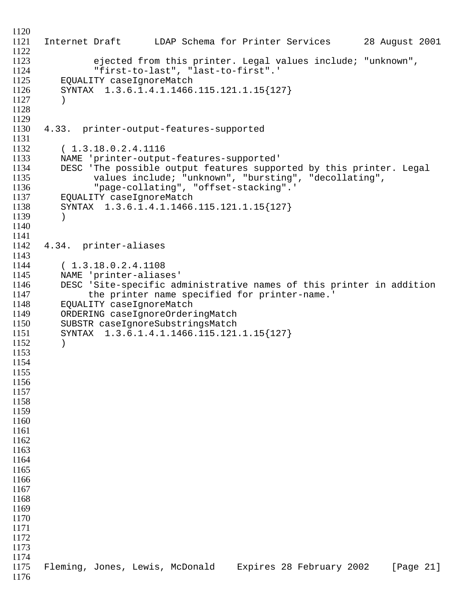```
1120
1121 Internet Draft LDAP Schema for Printer Services 28 August 2001
1122
1123 ejected from this printer. Legal values include; "unknown",<br>1124                 "first-to-last", "last-to-first".'
1124 "first-to-last", "last-to-first".'
          EQUALITY caseIqnoreMatch
1126 SYNTAX 1.3.6.1.4.1.1466.115.121.1.15{127} 
1127 )
1128
1129
1130 4.33. printer-output-features-supported
1131
1132 (1.3.18.0.2.4.1116<br>1133 NAME 'printer-outpu'
1133 NAME 'printer-output-features-supported'
1134 DESC 'The possible output features supported by this printer. Legal 
1135 values include; "unknown", "bursting", "decollating", 
1136 "page-collating", "offset-stacking".'
1137 EQUALITY caseIgnoreMatch<br>1138 SYNTAX 1.3.6.1.4.1.1466
          SYNTAX 1.3.6.1.4.1.1466.115.121.1.15{127}
11391140
1141
1142 4.34. printer-aliases
1143
1144 ( 1.3.18.0.2.4.1108
1145 NAME 'printer-aliases'
1146 DESC 'Site-specific administrative names of this printer in addition<br>1147 the printer name specified for printer-name.'
1147 the printer name specified for printer-name.'<br>1148 EOUALITY caseIgnoreMatch
1148 EQUALITY caseIgnoreMatch<br>1149 ORDERING caseIgnoreOrder:
1149 ORDERING caseIgnoreOrderingMatch<br>1150 SUBSTR caseIqnoreSubstringsMatch
          SUBSTR caseIgnoreSubstringsMatch
1151 SYNTAX 1.3.6.1.4.1.1466.115.121.1.15{127} 
1152 )
1153
1154
1155
1156
1157
1158
1159
1160
1161
1162
1163
1164
1165
1166
1167
1168
1169
1170
1171
1172
1173
1174
1175 Fleming, Jones, Lewis, McDonald Expires 28 February 2002 [Page 21]
1176
```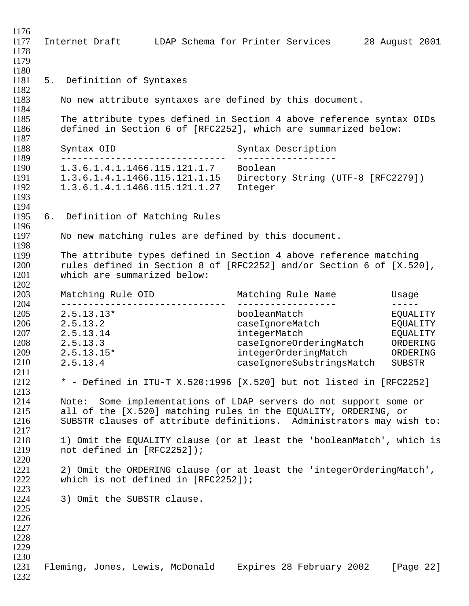Internet Draft LDAP Schema for Printer Services 28 August 2001 5. Definition of Syntaxes No new attribute syntaxes are defined by this document. The attribute types defined in Section 4 above reference syntax OIDs defined in Section 6 of [RFC2252], which are summarized below: 1187<br>1188 Syntax OID Syntax Description ------------------------------ ------------------ 1.3.6.1.4.1.1466.115.121.1.7 Boolean 1120 1.3.0.1.1.1111100.115.121.1.15 Directory String (UTF-8 [RFC2279]) 1.3.6.1.4.1.1466.115.121.1.27 Integer 6. Definition of Matching Rules No new matching rules are defined by this document. The attribute types defined in Section 4 above reference matching rules defined in Section 8 of [RFC2252] and/or Section 6 of [X.520], which are summarized below: <br> $1203$  Matching Rule OID Matching Rule Name Usage ------------------------------ ------------------ ----- 2.5.13.13\* booleanMatch EQUALITY 2.5.13.2 caseIgnoreMatch EQUALITY 2.5.13.14 integerMatch EQUALITY 2.5.13.3 caseIgnoreOrderingMatch ORDERING 1209 2.5.13.15\* integerOrderingMatch ORDERING<br>1210 2.5.13.4 caseIqnoreSubstringsMatch SUBSTR 2.5.13.4 caseIgnoreSubstringsMatch SUBSTR \* - Defined in ITU-T X.520:1996 [X.520] but not listed in [RFC2252] Note: Some implementations of LDAP servers do not support some or 1215 all of the [X.520] matching rules in the EQUALITY, ORDERING, or<br>1216 SUBSTR clauses of attribute definitions. Administrators may wig SUBSTR clauses of attribute definitions. Administrators may wish to: 1218 1) Omit the EQUALITY clause (or at least the 'booleanMatch', which is<br>1219 11 10 not defined in [RFC2252]); not defined in [RFC2252]); 2) Omit the ORDERING clause (or at least the 'integerOrderingMatch', 1222 which is not defined in [RFC2252]); 3) Omit the SUBSTR clause. Fleming, Jones, Lewis, McDonald Expires 28 February 2002 [Page 22]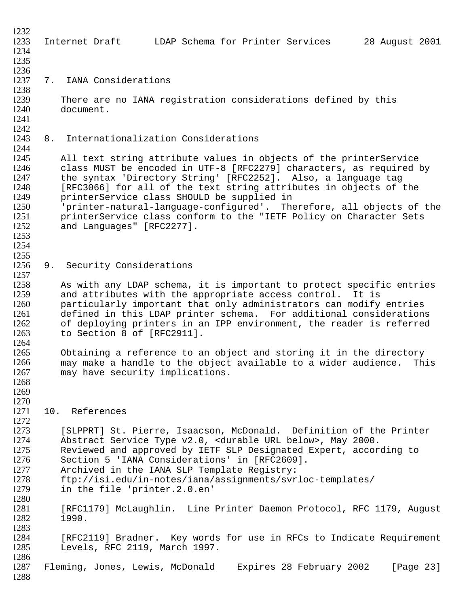| 1232 |                                                                        |
|------|------------------------------------------------------------------------|
| 1233 | LDAP Schema for Printer Services<br>28 August 2001<br>Internet Draft   |
| 1234 |                                                                        |
| 1235 |                                                                        |
| 1236 |                                                                        |
| 1237 | IANA Considerations<br>7.                                              |
| 1238 |                                                                        |
|      |                                                                        |
| 1239 | There are no IANA registration considerations defined by this          |
| 1240 | document.                                                              |
| 1241 |                                                                        |
| 1242 |                                                                        |
| 1243 | Internationalization Considerations<br>8.                              |
| 1244 |                                                                        |
| 1245 | All text string attribute values in objects of the printerService      |
| 1246 | class MUST be encoded in UTF-8 [RFC2279] characters, as required by    |
| 1247 | the syntax 'Directory String' [RFC2252]. Also, a language tag          |
| 1248 | [RFC3066] for all of the text string attributes in objects of the      |
| 1249 | printerService class SHOULD be supplied in                             |
| 1250 | 'printer-natural-language-configured'. Therefore, all objects of the   |
| 1251 | printerService class conform to the "IETF Policy on Character Sets     |
|      |                                                                        |
| 1252 | and Languages" [RFC2277].                                              |
| 1253 |                                                                        |
| 1254 |                                                                        |
| 1255 |                                                                        |
| 1256 | Security Considerations<br>9.                                          |
| 1257 |                                                                        |
| 1258 | As with any LDAP schema, it is important to protect specific entries   |
| 1259 | and attributes with the appropriate access control.<br>It is           |
| 1260 | particularly important that only administrators can modify entries     |
| 1261 | defined in this LDAP printer schema. For additional considerations     |
| 1262 | of deploying printers in an IPP environment, the reader is referred    |
| 1263 | to Section 8 of [RFC2911].                                             |
| 1264 |                                                                        |
| 1265 | Obtaining a reference to an object and storing it in the directory     |
| 1266 | may make a handle to the object available to a wider audience.<br>This |
| 1267 | may have security implications.                                        |
| 1268 |                                                                        |
| 1269 |                                                                        |
| 1270 |                                                                        |
|      |                                                                        |
| 1271 | 10. References                                                         |
| 1272 |                                                                        |
| 1273 | [SLPPRT] St. Pierre, Isaacson, McDonald. Definition of the Printer     |
| 1274 | Abstract Service Type v2.0, < durable URL below>, May 2000.            |
| 1275 | Reviewed and approved by IETF SLP Designated Expert, according to      |
| 1276 | Section 5 'IANA Considerations' in [RFC2609].                          |
| 1277 | Archived in the IANA SLP Template Registry:                            |
| 1278 | ftp://isi.edu/in-notes/iana/assignments/svrloc-templates/              |
| 1279 | in the file 'printer.2.0.en'                                           |
| 1280 |                                                                        |
| 1281 | [RFC1179] McLaughlin. Line Printer Daemon Protocol, RFC 1179, August   |
| 1282 | 1990.                                                                  |
| 1283 |                                                                        |
| 1284 | [RFC2119] Bradner. Key words for use in RFCs to Indicate Requirement   |
| 1285 | Levels, RFC 2119, March 1997.                                          |
|      |                                                                        |
| 1286 |                                                                        |
| 1287 | Fleming, Jones, Lewis, McDonald Expires 28 February 2002<br>[Page 23]  |
| 1288 |                                                                        |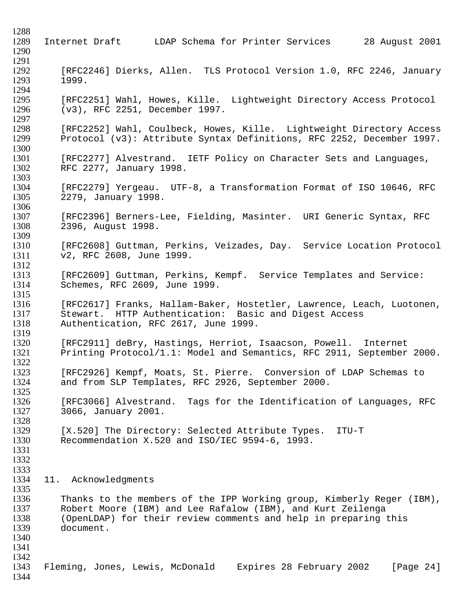1288 1289 Internet Draft LDAP Schema for Printer Services 28 August 2001 1290 1291<br>1292 1292 [RFC2246] Dierks, Allen. TLS Protocol Version 1.0, RFC 2246, January<br>1293 1999. 1293 1999. 1294<br>1295 1295 [RFC2251] Wahl, Howes, Kille. Lightweight Directory Access Protocol<br>1296 (v3), RFC 2251, December 1997. (v3), RFC 2251, December 1997. 1297<br>1298 1298 [RFC2252] Wahl, Coulbeck, Howes, Kille. Lightweight Directory Access<br>1299 Protocol (v3): Attribute Syntax Definitions, RFC 2252, December 1997. Protocol (v3): Attribute Syntax Definitions, RFC 2252, December 1997. 1300<br>1301 1301 [RFC2277] Alvestrand. IETF Policy on Character Sets and Languages,<br>1302 RFC 2277, January 1998. RFC 2277, January 1998. 1303<br>1304 1304 [RFC2279] Yergeau. UTF-8, a Transformation Format of ISO 10646, RFC<br>1305 2279, January 1998. 1305 2279, January 1998. 1306 1307 [RFC2396] Berners-Lee, Fielding, Masinter. URI Generic Syntax, RFC 1308 2396, August 1998. 1309 1310 [RFC2608] Guttman, Perkins, Veizades, Day. Service Location Protocol 1311 v2, RFC 2608, June 1999.  $\frac{1312}{1313}$ [RFC2609] Guttman, Perkins, Kempf. Service Templates and Service: 1314 Schemes, RFC 2609, June 1999.  $1315$ <br> $1316$ [RFC2617] Franks, Hallam-Baker, Hostetler, Lawrence, Leach, Luotonen, 1317 Stewart. HTTP Authentication: Basic and Digest Access<br>1318 Authentication, RFC 2617, June 1999. Authentication, RFC 2617, June 1999. 1319<br>1320 1320 [RFC2911] deBry, Hastings, Herriot, Isaacson, Powell. Internet<br>1321 Printing Protocol/1.1: Model and Semantics, RFC 2911, September Printing Protocol/1.1: Model and Semantics, RFC 2911, September 2000.  $1322$ <br> $1323$ [RFC2926] Kempf, Moats, St. Pierre. Conversion of LDAP Schemas to 1324 and from SLP Templates, RFC 2926, September 2000. 1325<br>1326 1326 [RFC3066] Alvestrand. Tags for the Identification of Languages, RFC<br>1327 3066, January 2001. 1327 3066, January 2001. 1328<br>1329 [X.520] The Directory: Selected Attribute Types. ITU-T 1330 Recommendation X.520 and ISO/IEC 9594-6, 1993. 1331 1332 1333 1334 11. Acknowledgments 1335 1336 Thanks to the members of the IPP Working group, Kimberly Reger (IBM), 1337 Robert Moore (IBM) and Lee Rafalow (IBM), and Kurt Zeilenga<br>1338 (OpenLDAP) for their review comments and help in preparing t 1338 (OpenLDAP) for their review comments and help in preparing this<br>1339 (document. document. 1340 1341 1342 1343 Fleming, Jones, Lewis, McDonald Expires 28 February 2002 [Page 24] 1344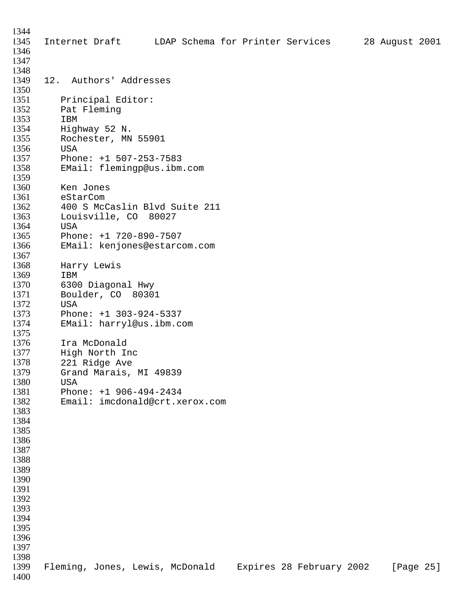Internet Draft LDAP Schema for Printer Services 28 August 2001 12. Authors' Addresses 1351 Principal Editor:<br>1352 Pat Fleming Pat Fleming 1353 IBM<br>1354 High 1354 Highway 52 N.<br>1355 Rochester, MN Rochester, MN 55901 USA 1357 Phone: +1 507-253-7583<br>1358 EMail: flemingp@us.ibm EMail: flemingp@us.ibm.com Ken Jones 1361 eStarCom<br>1362 400 S McC 400 S McCaslin Blvd Suite 211 Louisville, CO 80027 USA Phone: +1 720-890-7507 EMail: kenjones@estarcom.com Harry Lewis IBM 6300 Diagonal Hwy Boulder, CO 80301 1372 USA<br>1373 Phor 1373 Phone: +1 303-924-5337<br>1374 EMail: harryl@us.ibm.c EMail: harryl@us.ibm.com 1375<br>1376 1376 Ira McDonald<br>1377 High North I High North Inc 1378 221 Ridge Ave<br>1379 Grand Marais, Grand Marais, MI 49839 1380 USA<br>1381 Phor Phone: +1 906-494-2434 Email: imcdonald@crt.xerox.com Fleming, Jones, Lewis, McDonald Expires 28 February 2002 [Page 25]